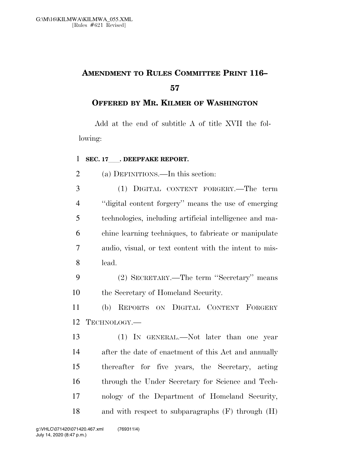## **AMENDMENT TO RULES COMMITTEE PRINT 116–**

**OFFERED BY MR. KILMER OF WASHINGTON**

Add at the end of subtitle A of title XVII the following:

## **SEC. 17** . DEEPFAKE REPORT.

(a) DEFINITIONS.—In this section:

 (1) DIGITAL CONTENT FORGERY.—The term ''digital content forgery'' means the use of emerging technologies, including artificial intelligence and ma- chine learning techniques, to fabricate or manipulate audio, visual, or text content with the intent to mis-lead.

 (2) SECRETARY.—The term ''Secretary'' means the Secretary of Homeland Security.

 (b) REPORTS ON DIGITAL CONTENT FORGERY TECHNOLOGY.—

 (1) IN GENERAL.—Not later than one year after the date of enactment of this Act and annually thereafter for five years, the Secretary, acting through the Under Secretary for Science and Tech- nology of the Department of Homeland Security, and with respect to subparagraphs (F) through (H)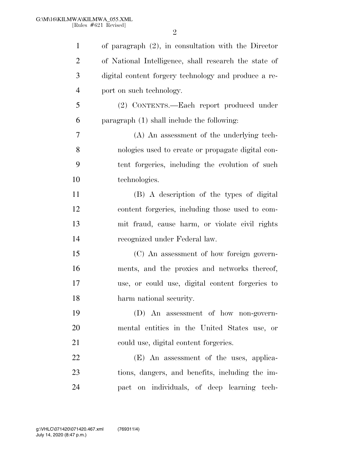| $\mathbf{1}$   | of paragraph $(2)$ , in consultation with the Director |
|----------------|--------------------------------------------------------|
| $\overline{2}$ | of National Intelligence, shall research the state of  |
| 3              | digital content forgery technology and produce a re-   |
| $\overline{4}$ | port on such technology.                               |
| 5              | (2) CONTENTS.—Each report produced under               |
| 6              | paragraph $(1)$ shall include the following:           |
| 7              | (A) An assessment of the underlying tech-              |
| 8              | nologies used to create or propagate digital con-      |
| 9              | tent forgeries, including the evolution of such        |
| 10             | technologies.                                          |
| 11             | (B) A description of the types of digital              |
| 12             | content forgeries, including those used to com-        |
| 13             | mit fraud, cause harm, or violate civil rights         |
| 14             | recognized under Federal law.                          |
| 15             | (C) An assessment of how foreign govern-               |
| 16             | ments, and the proxies and networks thereof,           |
| 17             | use, or could use, digital content forgeries to        |
| 18             | harm national security.                                |
| 19             | $(D)$ An assessment of how non-govern-                 |
| 20             | mental entities in the United States use, or           |
| 21             | could use, digital content forgeries.                  |
| 22             | (E) An assessment of the uses, applica-                |
| 23             | tions, dangers, and benefits, including the im-        |
| 24             | pact on individuals, of deep learning tech-            |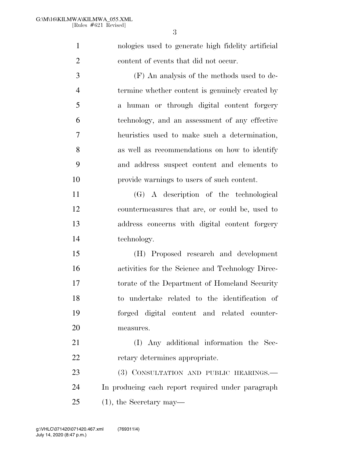nologies used to generate high fidelity artificial content of events that did not occur.

 (F) An analysis of the methods used to de- termine whether content is genuinely created by a human or through digital content forgery technology, and an assessment of any effective heuristics used to make such a determination, as well as recommendations on how to identify and address suspect content and elements to provide warnings to users of such content.

 (G) A description of the technological countermeasures that are, or could be, used to address concerns with digital content forgery technology.

 (H) Proposed research and development activities for the Science and Technology Direc- torate of the Department of Homeland Security to undertake related to the identification of forged digital content and related counter-measures.

 (I) Any additional information the Sec-retary determines appropriate.

23 (3) CONSULTATION AND PUBLIC HEARINGS.— In producing each report required under paragraph (1), the Secretary may